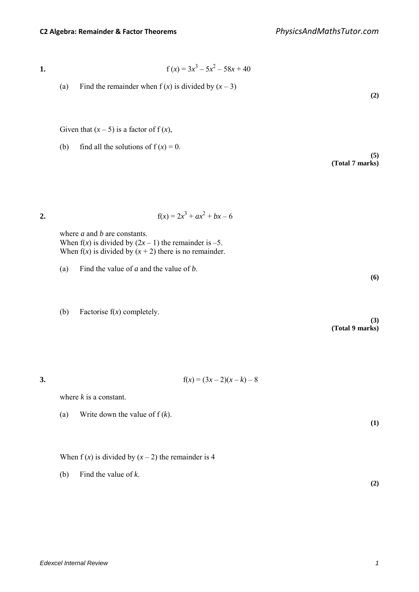*Edexcel Internal Review 1* 

**1.**  $f(x) = 3x^3 - 5x^2 - 58x + 40$ 

(a) Find the remainder when  $f(x)$  is divided by  $(x - 3)$ 

Given that  $(x - 5)$  is a factor of  $f(x)$ ,

(b) find all the solutions of  $f(x) = 0$ .

where *a* and *b* are constants. When  $f(x)$  is divided by  $(2x - 1)$  the remainder is -5.

**2.**  $f(x) = 2x^3 + ax^2 + bx - 6$ 

- (a) Find the value of *a* and the value of *b*.
- (b) Factorise f(*x*) completely.

- When  $f(x)$  is divided by  $(x 2)$  the remainder is 4
- (b) Find the value of *k*.

When  $f(x)$  is divided by  $(x + 2)$  there is no remainder.

- 
- 

**3.**  $f(x) = (3x - 2)(x - k) - 8$ 

where *k* is a constant.

(a) Write down the value of f (*k*).

**(3) (Total 9 marks)**

**(2)**

**(5)**

**(6)**

**(Total 7 marks)**

**(2)**

**(1)**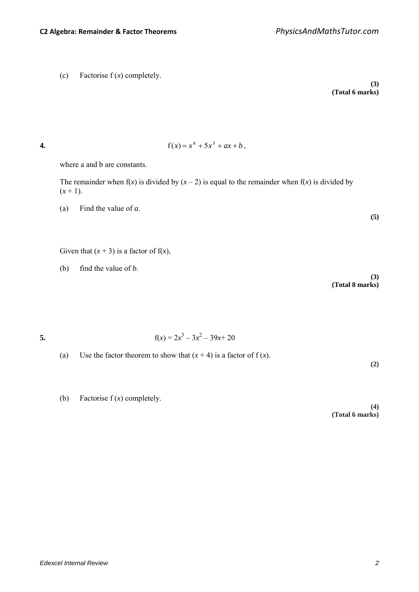*Edexcel Internal Review 2* 

where a and b are constants.

The remainder when  $f(x)$  is divided by  $(x - 2)$  is equal to the remainder when  $f(x)$  is divided by  $(x + 1)$ .

(a) Find the value of *a*.

Given that  $(x + 3)$  is a factor of  $f(x)$ ,

(b) find the value of *b*.

**(3) (Total 8 marks)**

5. 
$$
f(x) = 2x^3 - 3x^2 - 39x + 20
$$

- (a) Use the factor theorem to show that  $(x + 4)$  is a factor of  $f(x)$ .
- (b) Factorise f (*x*) completely.

**(4) (Total 6 marks)**

**4.**  $f(x) = x^4 + 5x^3 + ax + b$ .

**(5)**

**(3)**

**(Total 6 marks)**

**(2)**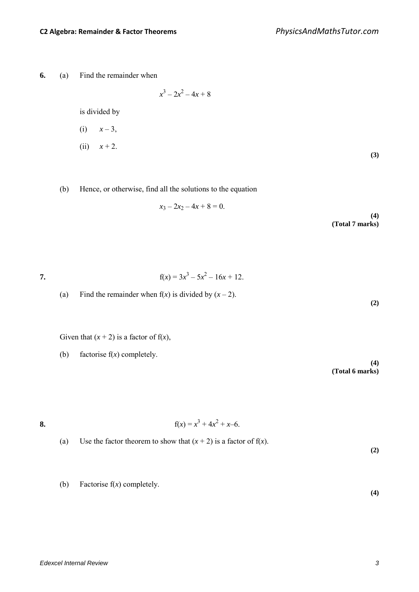**6.** (a) Find the remainder when

$$
x^3 - 2x^2 - 4x + 8
$$

is divided by

(i) 
$$
x-3
$$
,  
(ii)  $x+2$ . (3)

(b) Hence, or otherwise, find all the solutions to the equation

$$
x_3 - 2x_2 - 4x + 8 = 0.
$$
 (4)  
(Total 7 marks)

7. 
$$
f(x) = 3x^3 - 5x^2 - 16x + 12.
$$

(a) Find the remainder when  $f(x)$  is divided by  $(x - 2)$ .

Given that  $(x + 2)$  is a factor of  $f(x)$ ,

(b) factorise f(*x*) completely.

**(4) (Total 6 marks)**

**(2)**

**8.**  $f(x) = x^3 + 4x^2 + x - 6$ .

- (a) Use the factor theorem to show that  $(x + 2)$  is a factor of  $f(x)$ . **(2)**
	- (b) Factorise f(*x*) completely.

**(4)**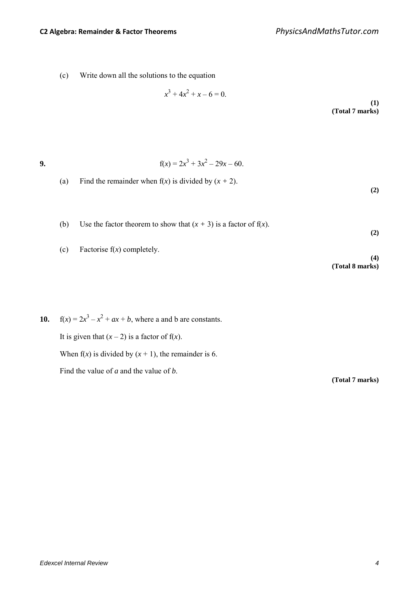(c) Write down all the solutions to the equation

 $x^3 + 4x^2 + x - 6 = 0.$ **(1) (Total 7 marks)**

**9.**  $f(x) = 2x^3 + 3x^2 - 29x - 60$ .

(a) Find the remainder when  $f(x)$  is divided by  $(x + 2)$ .

(b) Use the factor theorem to show that  $(x + 3)$  is a factor of  $f(x)$ .

(c) Factorise f(*x*) completely.

**10.**  $f(x) = 2x^3 - x^2 + ax + b$ , where a and b are constants. It is given that  $(x - 2)$  is a factor of  $f(x)$ . When  $f(x)$  is divided by  $(x + 1)$ , the remainder is 6. Find the value of *a* and the value of *b*.

**(Total 7 marks)**

**(2)**

**(2)**

**(4)**

**(Total 8 marks)**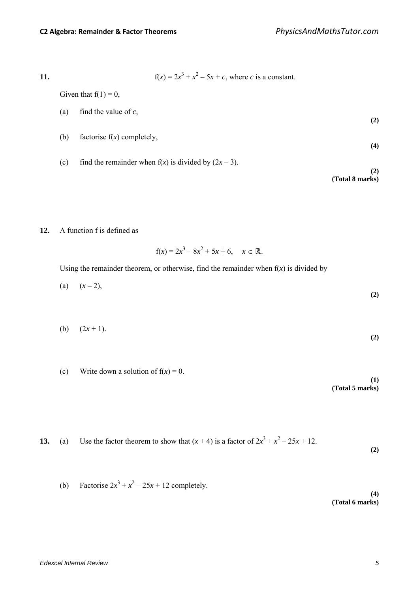11. 
$$
f(x) = 2x^3 + x^2 - 5x + c
$$
, where *c* is a constant.

Given that  $f(1) = 0$ ,

(a) find the value of 
$$
c
$$
, (2)

- (b) factorise f(*x*) completely, **(4)**
- (c) find the remainder when  $f(x)$  is divided by  $(2x-3)$ .

**(2) (Total 8 marks)**

### **12.** A function f is defined as

 $f(x) = 2x^3 - 8x^2 + 5x + 6$ ,  $x \in \mathbb{R}$ .

Using the remainder theorem, or otherwise, find the remainder when  $f(x)$  is divided by

$$
(a) \quad (x-2), \tag{2}
$$

- (b)  $(2x+1)$ . **(2)**
- (c) Write down a solution of  $f(x) = 0$ .

**(1) (Total 5 marks)**

13. (a) Use the factor theorem to show that 
$$
(x + 4)
$$
 is a factor of  $2x^3 + x^2 - 25x + 12$ . (2)

(b) Factorise 
$$
2x^3 + x^2 - 25x + 12
$$
 completely.

**(4) (Total 6 marks)**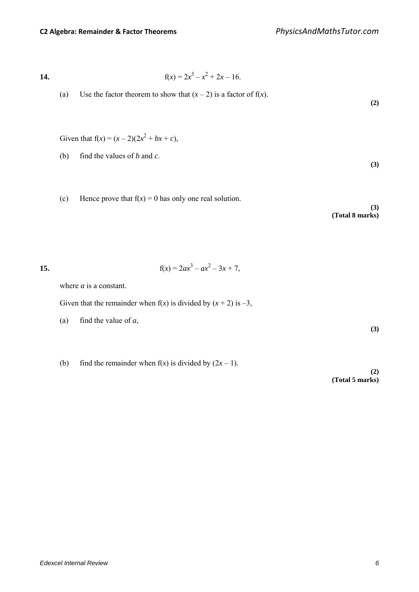14. 
$$
f(x) = 2x^3 - x^2 + 2x - 16.
$$

(a) Use the factor theorem to show that  $(x - 2)$  is a factor of  $f(x)$ .

Given that  $f(x) = (x - 2)(2x^2 + bx + c)$ ,

- (b) find the values of *b* and *c*.
- (c) Hence prove that  $f(x) = 0$  has only one real solution.

**(3) (Total 8 marks)**

**(2)**

**(3)**

15. 
$$
f(x) = 2ax^3 - ax^2 - 3x + 7,
$$

where *a* is a constant.

Given that the remainder when  $f(x)$  is divided by  $(x + 2)$  is  $-3$ ,

- (a) find the value of *a*,
- (b) find the remainder when  $f(x)$  is divided by  $(2x 1)$ .

**(2) (Total 5 marks)**

**(3)**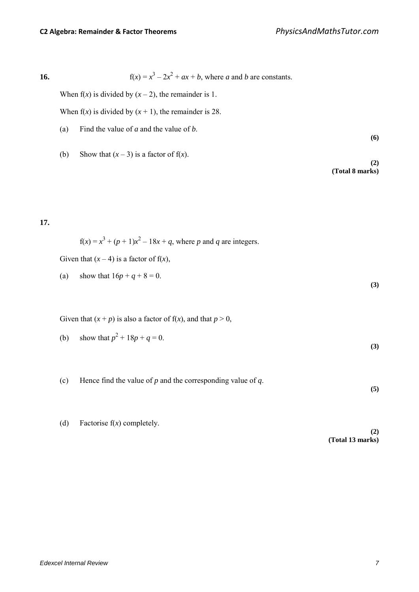**16.**  $f(x) = x^3 - 2x^2 + ax + b$ , where *a* and *b* are constants.

When  $f(x)$  is divided by  $(x - 2)$ , the remainder is 1.

When  $f(x)$  is divided by  $(x + 1)$ , the remainder is 28.

- (a) Find the value of *a* and the value of *b*.
- (b) Show that  $(x-3)$  is a factor of  $f(x)$ .

**(2) (Total 8 marks)**

**(6)**

**17.**

$$
f(x) = x3 + (p + 1)x2 - 18x + q
$$
, where *p* and *q* are integers.

Given that  $(x - 4)$  is a factor of  $f(x)$ ,

(a) show that  $16p + q + 8 = 0$ . **(3)**

Given that  $(x + p)$  is also a factor of  $f(x)$ , and that  $p > 0$ ,

- (b) show that  $p^2 + 18p + q = 0$ . **(3)**
- (c) Hence find the value of *p* and the corresponding value of *q*. **(5)**
- (d) Factorise f(*x*) completely.

**(2) (Total 13 marks)**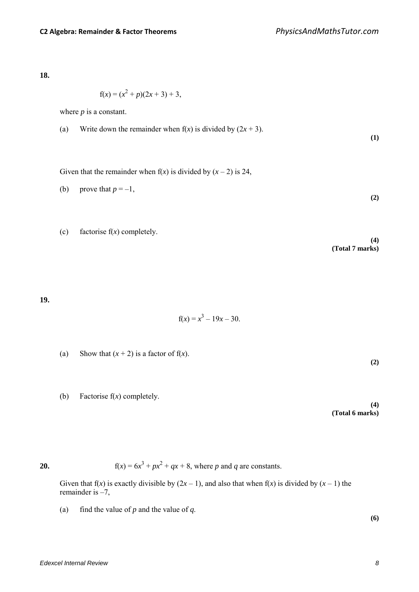**18.**

$$
f(x) = (x^2 + p)(2x + 3) + 3,
$$

where *p* is a constant.

(a) Write down the remainder when 
$$
f(x)
$$
 is divided by  $(2x + 3)$ . (1)

Given that the remainder when  $f(x)$  is divided by  $(x - 2)$  is 24,

(b) prove that 
$$
p = -1
$$
, (2)

(c) factorise 
$$
f(x)
$$
 completely.

**19.**

$$
f(x) = x^3 - 19x - 30.
$$

(a) Show that  $(x + 2)$  is a factor of  $f(x)$ .

(b) Factorise f(*x*) completely.

**(4) (Total 6 marks)**

**(2)**

**(4)**

**(Total 7 marks)**

**20.**  $f(x) = 6x^3 + px^2 + qx + 8$ , where *p* and *q* are constants.

Given that  $f(x)$  is exactly divisible by  $(2x - 1)$ , and also that when  $f(x)$  is divided by  $(x - 1)$  the remainder is –7,

(a) find the value of  $p$  and the value of  $q$ .

**(6)**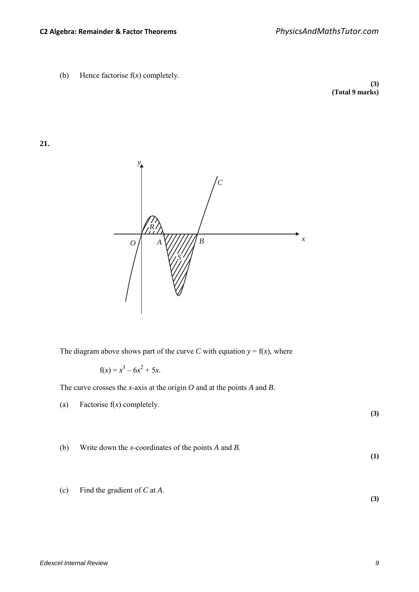(b) Hence factorise f(*x*) completely.

**(3) (Total 9 marks)**

**21.**



The diagram above shows part of the curve *C* with equation  $y = f(x)$ , where

$$
f(x) = x^3 - 6x^2 + 5x.
$$

The curve crosses the *x*-axis at the origin *O* and at the points *A* and *B*.

(a) Factorise f(*x*) completely.

**(3)**

**(1)**

**(3)**

- (b) Write down the *x*-coordinates of the points *A* and *B*.
- (c) Find the gradient of *C* at *A*.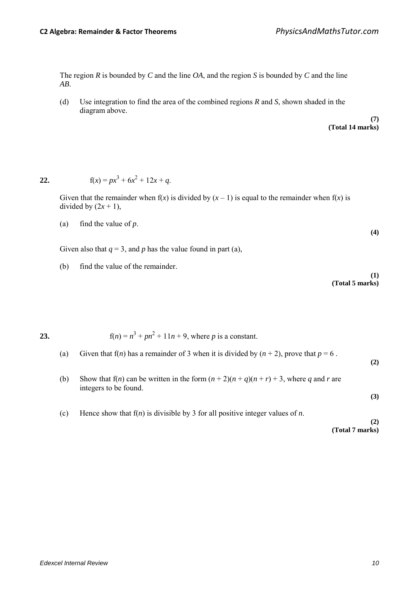The region *R* is bounded by *C* and the line *OA*, and the region *S* is bounded by *C* and the line *AB*.

(d) Use integration to find the area of the combined regions *R* and *S*, shown shaded in the diagram above.

$$
\begin{array}{c}\n(7) \\
(\text{Total 14 marks})\n\end{array}
$$

### **22.**  $f(x) = px^3 + 6x^2 + 12x + q$ .

Given that the remainder when  $f(x)$  is divided by  $(x - 1)$  is equal to the remainder when  $f(x)$  is divided by  $(2x + 1)$ ,

(a) find the value of 
$$
p
$$
.

Given also that  $q = 3$ , and p has the value found in part (a),

(b) find the value of the remainder.

```
(1)
(Total 5 marks)
```
**(4)**

**(2)**

**(3)**

**23.**  $f(n) = n^3 + pn^2 + 11n + 9$ , where *p* is a constant.

- (a) Given that  $f(n)$  has a remainder of 3 when it is divided by  $(n + 2)$ , prove that  $p = 6$ .
- (b) Show that  $f(n)$  can be written in the form  $(n + 2)(n + q)(n + r) + 3$ , where *q* and *r* are integers to be found.
- (c) Hence show that f(*n*) is divisible by 3 for all positive integer values of *n*.

**(2) (Total 7 marks)**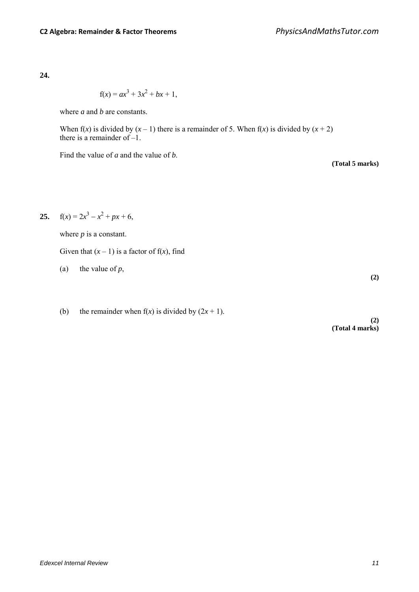$$
f(x) = ax^3 + 3x^2 + bx + 1,
$$

where *a* and *b* are constants.

When  $f(x)$  is divided by  $(x - 1)$  there is a remainder of 5. When  $f(x)$  is divided by  $(x + 2)$ there is a remainder of –1.

Find the value of *a* and the value of *b*.

**25.**  $f(x) = 2x^3 - x^2 + px + 6$ ,

where  $p$  is a constant.

Given that  $(x - 1)$  is a factor of  $f(x)$ , find

(a) the value of  $p$ ,

(b) the remainder when  $f(x)$  is divided by  $(2x + 1)$ .

**(2) (Total 4 marks)**

**(Total 5 marks)**

**(2)**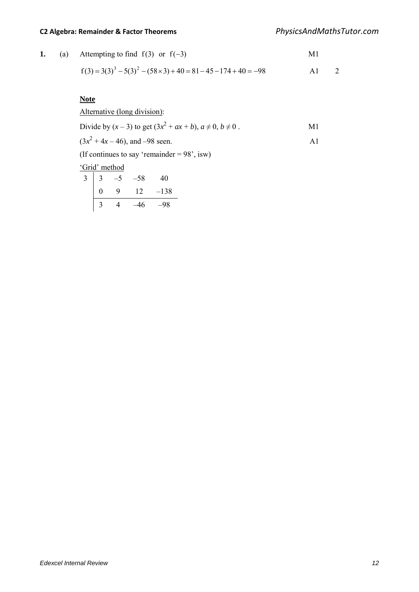## **C2 Algebra: Remainder & Factor Theorems** *PhysicsAndMathsTutor.com*

|  | 1. (a) Attempting to find $f(3)$ or $f(-3)$ | M1 |
|--|---------------------------------------------|----|
|  |                                             |    |

$$
f(3) = 3(3)^3 - 5(3)^2 - (58 \times 3) + 40 = 81 - 45 - 174 + 40 = -98
$$
 A1 2

### **Note**

# Alternative (long division): Divide by  $(x - 3)$  to get  $(3x^2 + ax + b)$ ,  $a \ne 0$ ,  $b \ne 0$ .  $(3x^2 + 4x - 46)$ , and  $-98$  seen. A1

(If continues to say 'remainder =  $98^\circ$ , isw)

### 'Grid' method

|   |   | -58 | 40     |
|---|---|-----|--------|
| 0 | q | 12  | $-138$ |
|   | 4 | 16  | -98    |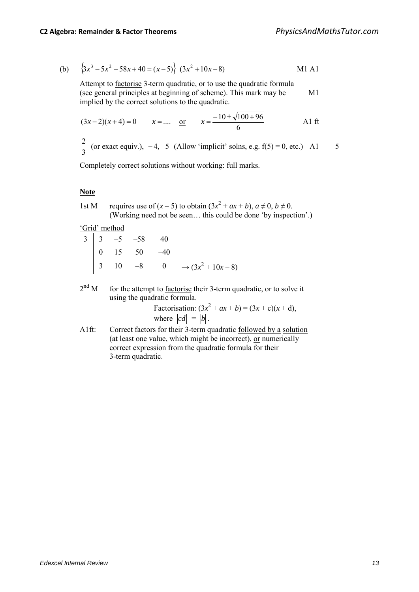(b) 
$$
\left\{3x^3 - 5x^2 - 58x + 40 = (x - 5)\right\}
$$
  $(3x^2 + 10x - 8)$  M1 A1

Attempt to factorise 3-term quadratic, or to use the quadratic formula (see general principles at beginning of scheme). This mark may be M1 implied by the correct solutions to the quadratic.

$$
(3x-2)(x+4) = 0
$$
  $x = ....$  or  $x = \frac{-10 \pm \sqrt{100 + 96}}{6}$  A1 ft

3  $\frac{2}{3}$  (or exact equiv.), -4, 5 (Allow 'implicit' solns, e.g. f(5) = 0, etc.) A1 5

Completely correct solutions without working: full marks.

#### **Note**

1st M requires use of  $(x - 5)$  to obtain  $(3x^2 + ax + b)$ ,  $a \ne 0$ ,  $b \ne 0$ . (Working need not be seen… this could be done 'by inspection'.)

'Grid' method

|  | $3 \begin{vmatrix} 3 & -5 & -58 & 40 \end{vmatrix}$ |                                                                                |
|--|-----------------------------------------------------|--------------------------------------------------------------------------------|
|  | $\begin{vmatrix} 0 & 15 & 50 & -40 \end{vmatrix}$   |                                                                                |
|  |                                                     | $\begin{vmatrix} 3 & 10 & -8 & 0 & \rightarrow (3x^2 + 10x - 8) \end{vmatrix}$ |

 $2<sup>nd</sup>$  M for the attempt to <u>factorise</u> their 3-term quadratic, or to solve it using the quadratic formula.

Factorisation:  $(3x^2 + ax + b) = (3x + c)(x + d)$ , where  $|cd| = |b|$ .

A1ft: Correct factors for their 3-term quadratic <u>followed by a solution</u> (at least one value, which might be incorrect), or numerically correct expression from the quadratic formula for their 3-term quadratic.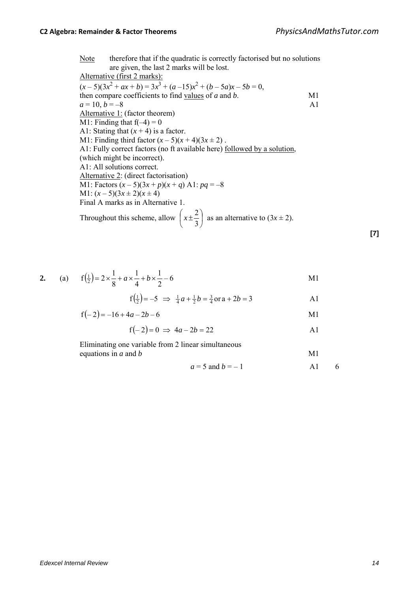Note therefore that if the quadratic is correctly factorised but no solutions are given, the last 2 marks will be lost. Alternative (first 2 marks):  $(x-5)(3x^2 + ax + b) = 3x^3 + (a-15)x^2 + (b-5a)x - 5b = 0$ , then compare coefficients to find values of *a* and *b*. M1  $a = 10, b = -8$  A1 Alternative 1: (factor theorem) M1: Finding that  $f(-4) = 0$ A1: Stating that  $(x + 4)$  is a factor. M1: Finding third factor  $(x-5)(x+4)(3x \pm 2)$ . A1: Fully correct factors (no ft available here) followed by a solution, (which might be incorrect). A1: All solutions correct. Alternative 2: (direct factorisation) M1: Factors  $(x-5)(3x+p)(x+q)$  A1:  $pq = -8$ M1:  $(x-5)(3x \pm 2)(x \pm 4)$ Final A marks as in Alternative 1. Throughout this scheme, allow  $\left| x \pm \frac{2}{3} \right|$ J  $\left(x\pm\frac{2}{2}\right)$ l  $\int x \pm$ 3  $x \pm \frac{2}{2}$  as an alternative to  $(3x \pm 2)$ .

2. (a) 
$$
f(\frac{1}{2}) = 2 \times \frac{1}{8} + a \times \frac{1}{4} + b \times \frac{1}{2} - 6
$$
 M1

$$
f(\frac{1}{2}) = -5 \implies \frac{1}{4}a + \frac{1}{2}b = \frac{3}{4} \text{ or } a + 2b = 3
$$

$$
f(-2) = -16 + 4a - 2b - 6
$$
 M1

$$
f(-2) = 0 \implies 4a - 2b = 22
$$

 Eliminating one variable from 2 linear simultaneous equations in *a* and *b* M1

$$
a = 5 \text{ and } b = -1 \qquad \qquad \text{A1} \qquad 6
$$

**[7]**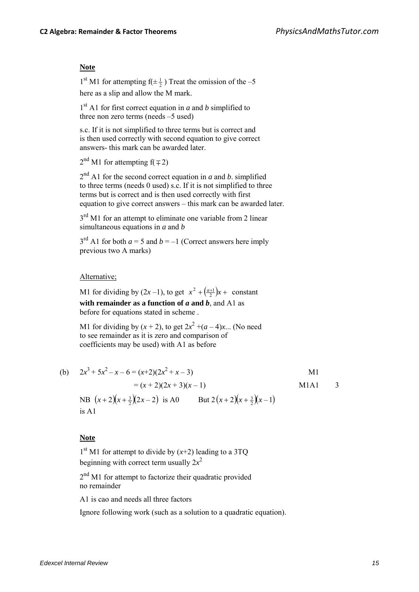#### **Note**

 $1<sup>st</sup> M1$  for attempting  $f(\pm \frac{1}{2})$  Treat the omission of the -5 here as a slip and allow the M mark.

 $1<sup>st</sup>$  A1 for first correct equation in *a* and *b* simplified to three non zero terms (needs –5 used)

s.c. If it is not simplified to three terms but is correct and is then used correctly with second equation to give correct answers- this mark can be awarded later.

 $2<sup>nd</sup>$  M1 for attempting  $f( \mp 2)$ 

 $2<sup>nd</sup>$  A1 for the second correct equation in *a* and *b*. simplified to three terms (needs 0 used) s.c. If it is not simplified to three terms but is correct and is then used correctly with first equation to give correct answers – this mark can be awarded later.

3<sup>rd</sup> M1 for an attempt to eliminate one variable from 2 linear simultaneous equations in *a* and *b*

 $3<sup>rd</sup>$  A1 for both  $a = 5$  and  $b = -1$  (Correct answers here imply previous two A marks)

#### Alternative;

M1 for dividing by  $(2x-1)$ , to get  $x^2 + \left(\frac{a+1}{2}\right)x +$  constant **with remainder as a function of**  $a$  **and**  $b$ **, and A1 as** before for equations stated in scheme .

M1 for dividing by  $(x + 2)$ , to get  $2x^2 + (a - 4)x$ ... (No need to see remainder as it is zero and comparison of coefficients may be used) with A1 as before

(b) 
$$
2x^3 + 5x^2 - x - 6 = (x+2)(2x^2 + x - 3)
$$
  
\t\t\t $= (x+2)(2x+3)(x-1)$    
\t\t\tNB  $(x+2)(x+\frac{3}{2})(2x-2)$  is A0   
\t\t\tBut  $2(x+2)(x+\frac{3}{2})(x-1)$   
\t\t\t is A1

#### **Note**

 $1<sup>st</sup>$  M1 for attempt to divide by  $(x+2)$  leading to a 3TQ beginning with correct term usually 2*x* 2

 $2<sup>nd</sup>$  M1 for attempt to factorize their quadratic provided no remainder

A1 is cao and needs all three factors

Ignore following work (such as a solution to a quadratic equation).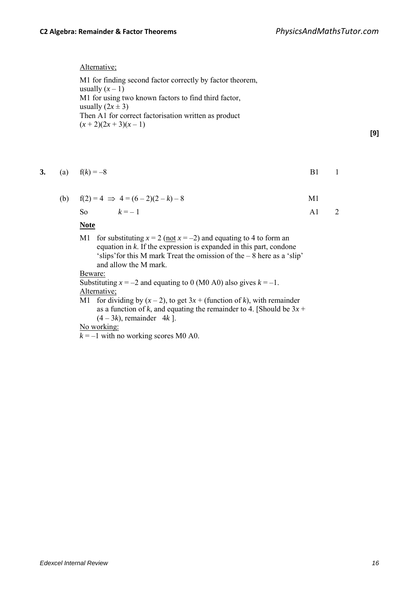Alternative;

M1 for finding second factor correctly by factor theorem, usually  $(x - 1)$ M1 for using two known factors to find third factor, usually  $(2x \pm 3)$ Then A1 for correct factorisation written as product  $(x + 2)(2x + 3)(x - 1)$ 

**[9]**

3. (a) 
$$
f(k) = -8
$$
 B1 1

(b)  $f(2) = 4 \implies 4 = (6-2)(2-k) - 8$  M1

So 
$$
k=-1
$$
 A1 2

#### **Note**

M1 for substituting  $x = 2$  (not  $x = -2$ ) and equating to 4 to form an equation in *k*. If the expression is expanded in this part, condone 'slips'for this M mark Treat the omission of the – 8 here as a 'slip' and allow the M mark.

#### Beware:

Substituting  $x = -2$  and equating to 0 (M0 A0) also gives  $k = -1$ . Alternative;

M1 for dividing by  $(x - 2)$ , to get  $3x +$  (function of *k*), with remainder as a function of *k*, and equating the remainder to 4. [Should be  $3x +$  $(4-3k)$ , remainder 4*k* ].

### No working:

 $k = -1$  with no working scores M0 A0.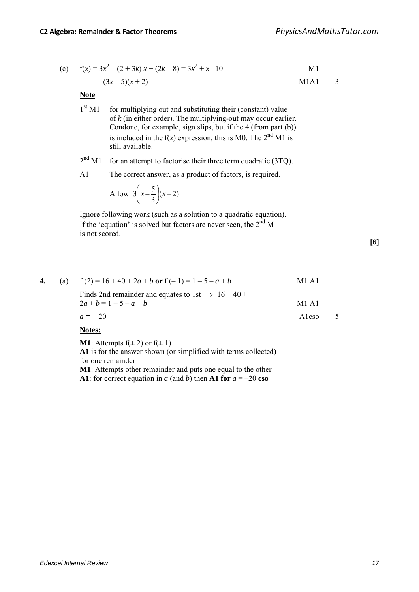(c) 
$$
f(x) = 3x^2 - (2 + 3k)x + (2k - 8) = 3x^2 + x - 10
$$
  
=  $(3x - 5)(x + 2)$  M1A1 3

#### **Note**

| 1 <sup>st</sup> M1 | for multiplying out and substituting their (constant) value<br>of $k$ (in either order). The multiplying-out may occur earlier.<br>Condone, for example, sign slips, but if the 4 (from part (b)) |
|--------------------|---------------------------------------------------------------------------------------------------------------------------------------------------------------------------------------------------|
|                    | is included in the $f(x)$ expression, this is M0. The $2^{nd}$ M1 is<br>still available.                                                                                                          |
| $-1$ and $-1$      |                                                                                                                                                                                                   |

 $2<sup>nd</sup>$  M1 for an attempt to factorise their three term quadratic (3TQ).

A1 The correct answer, as a product of factors, is required.

$$
x = \frac{3}{x-3}(x+2)
$$

 Ignore following work (such as a solution to a quadratic equation). If the 'equation' is solved but factors are never seen, the  $2<sup>nd</sup> M$ is not scored.

**[6]**

| 4. | (a) $f(2) = 16 + 40 + 2a + b$ or $f(-1) = 1 - 5 - a + b$                                   | M1 A1 |  |
|----|--------------------------------------------------------------------------------------------|-------|--|
|    | Finds 2nd remainder and equates to 1st $\Rightarrow$ 16 + 40 +<br>$2a + b = 1 - 5 - a + b$ | M1 A1 |  |
|    | $a = -20$                                                                                  | Alcso |  |
|    | <b>Notes:</b>                                                                              |       |  |

**M1**: Attempts  $f(\pm 2)$  or  $f(\pm 1)$ 

**A1** is for the answer shown (or simplified with terms collected) for one remainder

**M1**: Attempts other remainder and puts one equal to the other **A1**: for correct equation in *a* (and *b*) then **A1 for**  $a = -20$  **cso**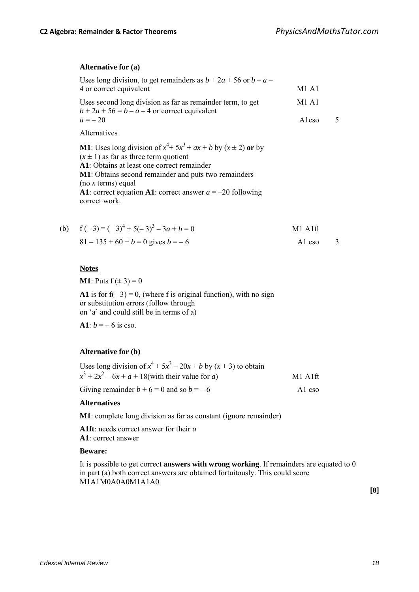#### **Alternative for (a)**

| Uses long division, to get remainders as $b + 2a + 56$ or $b - a -$                                           |       |  |
|---------------------------------------------------------------------------------------------------------------|-------|--|
| 4 or correct equivalent                                                                                       | M1 A1 |  |
| Uses second long division as far as remainder term, to get<br>$b + 2a + 56 = b - a - 4$ or correct equivalent | M1 A1 |  |
| $a = -20$                                                                                                     | Alcso |  |
| Alternatives                                                                                                  |       |  |

**M1**: Uses long division of  $x^4 + 5x^3 + ax + b$  by  $(x \pm 2)$  or by  $(x \pm 1)$  as far as three term quotient **A1**: Obtains at least one correct remainder **M1**: Obtains second remainder and puts two remainders (no *x* terms) equal **A1**: correct equation **A1**: correct answer *a* = –20 following correct work.

| (b) $f(-3) = (-3)^4 + 5(-3)^3 - 3a + b = 0$ | $M1$ Alft             |  |
|---------------------------------------------|-----------------------|--|
| $81 - 135 + 60 + b = 0$ gives $b = -6$      | Al cso $\overline{3}$ |  |

#### **Notes**

**M1**: Puts  $f(\pm 3) = 0$ 

**A1** is for  $f(-3) = 0$ , (where f is original function), with no sign or substitution errors (follow through on 'a' and could still be in terms of a)

**A1**:  $b = -6$  is cso.

#### **Alternative for (b)**

| Uses long division of $x^4 + 5x^3 - 20x + b$ by $(x + 3)$ to obtain |           |
|---------------------------------------------------------------------|-----------|
| $x^3 + 2x^2 - 6x + a + 18$ (with their value for a)                 | $M1$ Alft |
| Giving remainder $b + 6 = 0$ and so $b = -6$                        | A cso     |

#### **Alternatives**

**M1**: complete long division as far as constant (ignore remainder)

**A1ft**: needs correct answer for their *a* **A1**: correct answer

#### **Beware:**

It is possible to get correct **answers with wrong working**. If remainders are equated to 0 in part (a) both correct answers are obtained fortuitously. This could score M1A1M0A0A0M1A1A0

**[8]**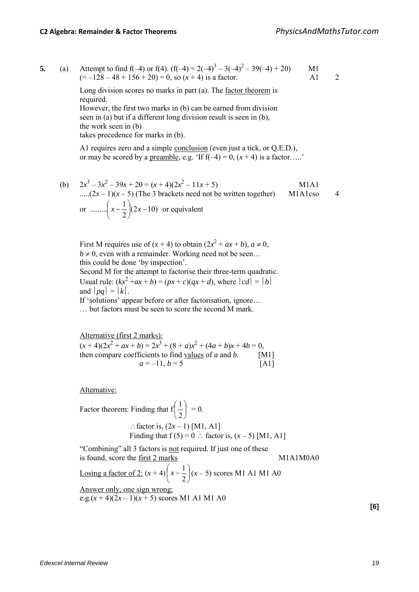5. (a) Attempt to find f(-4) or f(4). 
$$
(f(-4) = 2(-4)^3 - 3(-4)^2 - 39(-4) + 20)
$$
 M1  
\n $(= -128 - 48 + 156 + 20) = 0$ , so  $(x + 4)$  is a factor.

Long division scores no marks in part (a). The <u>factor theorem</u> is required.

However, the first two marks in (b) can be earned from division seen in (a) but if a different long division result is seen in (b), the work seen in (b) takes precedence for marks in (b).

A1 requires zero and a simple **conclusion** (even just a tick, or Q.E.D.), or may be scored by a <u>preamble</u>, e.g. 'If  $f(-4) = 0$ ,  $(x + 4)$  is a factor....'

(b) 
$$
2x^3 - 3x^2 - 39x + 20 = (x + 4)(2x^2 - 11x + 5)
$$
 M1A1  
\n.... $(2x - 1)(x - 5)$  (The 3 brackets need not be written together) M1A1cso  
\nor  $\dots \dots \begin{pmatrix} 1 \\ x - \frac{1}{2} \end{pmatrix} (2x - 10)$  or equivalent

First M requires use of  $(x + 4)$  to obtain  $(2x^2 + ax + b)$ ,  $a \ne 0$ ,  $b \neq 0$ , even with a remainder. Working need not be seen... this could be done 'by inspection'. Second M for the attempt to factorise their three-term quadratic.

Usual rule:  $(kx^2 + ax + b) = (px + c)(qx + d)$ , where  $|cd| = |b|$ and  $|pa| = |k|$ . If 'solutions' appear before or after factorisation, ignore…

… but factors must be seen to score the second M mark.

Alternative (first 2 marks):  $(x+4)(2x^2+ax+b)=2x^3+(8+a)x^2+(4a+b)x+4b=0,$ then compare coefficients to find values of *a* and *b.* [M1]  $a = -11, b = 5$  [A1]

Alternative:

Factor theorem: Finding that 
$$
f\left(\frac{1}{2}\right) = 0
$$
.  
\n
$$
\therefore \text{ factor is, } (2x - 1) \text{ [M1, A1]}
$$
\nFinding that  $f(5) = 0$   $\therefore$  factor is,  $(x - 5) \text{ [M1, A1]}$ 

"Combining" all 3 factors is not required. If just one of these is found, score the first 2 marks M1A1M0A0 <u>Losing a factor of 2:</u>  $(x+4)$   $x-\frac{1}{2}$ J  $\left(x-\frac{1}{2}\right)$  $\left(x-\frac{1}{2}\right)(x-5)$  scores M1 A1 M1 A0 Answer only, one sign wrong: e.g. $(x+4)(2x-1)(x+5)$  scores M1 A1 M1 A0

**[6]**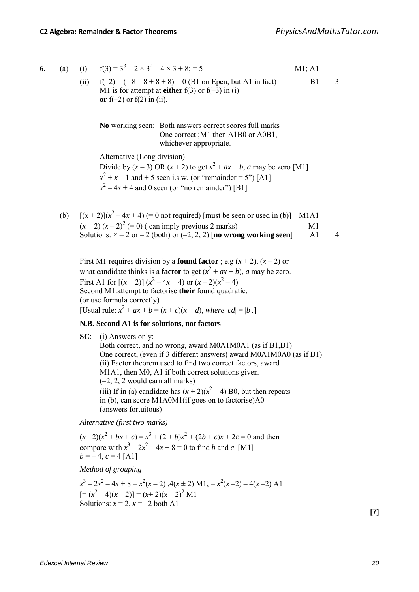|  |  |  | <b>6.</b> (a) (i) $f(3) = 3^3 - 2 \times 3^2 - 4 \times 3 + 8; = 5$ | M1; A1 |
|--|--|--|---------------------------------------------------------------------|--------|
|--|--|--|---------------------------------------------------------------------|--------|

(ii)  $f(-2) = (-8 - 8 + 8 + 8) = 0$  (B1 on Epen, but A1 in fact) B1 3 M1 is for attempt at **either**  $f(3)$  or  $f(-3)$  in (i) or  $f(-2)$  or  $f(2)$  in (ii).

**No** working seen: Both answers correct scores full marks One correct ;M1 then A1B0 or A0B1, whichever appropriate.

Alternative (Long division)

Divide by  $(x-3)$  OR  $(x+2)$  to get  $x^2 + ax + b$ , *a* may be zero [M1]  $x^{2} + x - 1$  and + 5 seen i.s.w. (or "remainder = 5") [A1]  $x^2 - 4x + 4$  and 0 seen (or "no remainder") [B1]

(b)  $[(x+2)](x^2-4x+4) (= 0$  not required) [must be seen or used in (b)] M1A1  $(x + 2) (x - 2)^2 (= 0)$  (can imply previous 2 marks) M1 Solutions:  $x = 2$  or  $-2$  (both) or  $(-2, 2, 2)$  [**no wrong working seen**] A1 4

First M1 requires division by a **found factor** ; e.g  $(x + 2)$ ,  $(x - 2)$  or what candidate thinks is a **factor** to get  $(x^2 + ax + b)$ , *a* may be zero. First A1 for  $[(x+2)] (x^2-4x+4)$  or  $(x-2)(x^2-4)$ Second M1:attempt to factorise **their** found quadratic. (or use formula correctly) [Usual rule:  $x^2 + ax + b = (x + c)(x + d)$ , where  $|cd| = |b|$ .]

#### **N.B. Second A1 is for solutions, not factors**

**SC**: (i) Answers only: Both correct, and no wrong, award M0A1M0A1 (as if B1,B1) One correct, (even if 3 different answers) award M0A1M0A0 (as if B1) (ii) Factor theorem used to find two correct factors, award M1A1, then M0, A1 if both correct solutions given. (–2, 2, 2 would earn all marks) (iii) If in (a) candidate has  $(x + 2)(x^2 - 4)$  B0, but then repeats in (b), can score M1A0M1(if goes on to factorise)A0 (answers fortuitous)

*Alternative (first two marks)*

 $(x+2)(x^2 + bx + c) = x^3 + (2 + b)x^2 + (2b + c)x + 2c = 0$  and then compare with  $x^3 - 2x^2 - 4x + 8 = 0$  to find *b* and *c*. [M1]  $b = -4$ ,  $c = 4$  [A1]

*Method of grouping*

 $x^3 - 2x^2 - 4x + 8 = x^2(x - 2)$ ,  $4(x \pm 2)$  M1;  $= x^2(x - 2) - 4(x - 2)$  A1  $[=(x^2-4)(x-2)] = (x+2)(x-2)^2$  M1 Solutions:  $x = 2$ ,  $x = -2$  both A1

**[7]**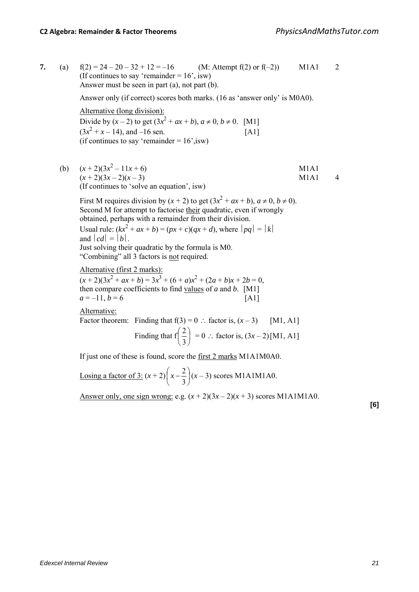**7.** (a)  $f(2) = 24 - 20 - 32 + 12 = -16$  (M: Attempt  $f(2)$  or  $f(-2)$ ) M1A1 2 (If continues to say 'remainder  $= 16$ ', isw) Answer must be seen in part (a), not part (b). Answer only (if correct) scores both marks. (16 as 'answer only' is M0A0). Alternative (long division): Divide by  $(x - 2)$  to get  $(3x^2 + ax + b)$ ,  $a \ne 0$ ,  $b \ne 0$ . [M1]  $(3x^2 + x - 14)$ , and  $-16$  sen. [A1] (if continues to say 'remainder  $= 16$ ', isw) (b)  $(x+2)(3x^2-11x+6)$  M1A1  $(x+2)(3x-2)(x-3)$  M1A1 4 (If continues to 'solve an equation', isw) First M requires division by  $(x + 2)$  to get  $(3x^2 + ax + b)$ ,  $a \ne 0$ ,  $b \ne 0$ ). Second M for attempt to factorise their quadratic, even if wrongly obtained, perhaps with a remainder from their division. Usual rule:  $(kx^2 + ax + b) = (px + c)(qx + d)$ , where  $|pq| = |k|$ and  $|cd| = |b|$ . Just solving their quadratic by the formula is M0. "Combining" all 3 factors is not required. Alternative (first 2 marks):  $(x+2)(3x^2+ax+b)=3x^3+(6+a)x^2+(2a+b)x+2b=0,$ then compare coefficients to find values of *a* and *b*. [M1]  $a = -11, b = 6$  [A1] Alternative: Factor theorem: Finding that  $f(3) = 0$  ∴ factor is,  $(x - 3)$  [M1, A1] Finding that  $f\left|\frac{2}{3}\right|$  $\big)$  $\left(\frac{2}{2}\right)$  $\setminus$ ſ 3  $\left(\frac{2}{3}\right) = 0$  ∴ factor is,  $(3x-2)$ [M1, A1] If just one of these is found, score the first 2 marks M1A1M0A0.

> <u>Losing a factor of 3:</u>  $(x+2)$   $x-\frac{2}{3}$ J  $\left(x-\frac{2}{x}\right)$  $\left(x-\frac{2}{3}\right)(x-3)$  scores M1A1M1A0.

Answer only, one sign wrong: e.g.  $(x+2)(3x-2)(x+3)$  scores M1A1M1A0.

**[6]**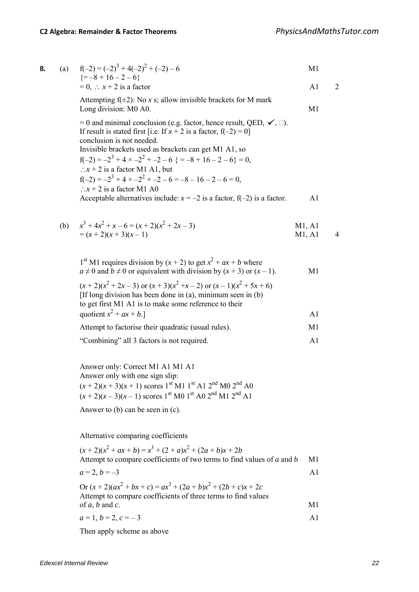| 8. | (a) $f(-2) = (-2)^3 + 4(-2)^2 + (-2) - 6$                                                                                                                                                                                                                                                                                                                                                                                                | M1 |  |
|----|------------------------------------------------------------------------------------------------------------------------------------------------------------------------------------------------------------------------------------------------------------------------------------------------------------------------------------------------------------------------------------------------------------------------------------------|----|--|
|    | $\left\{ = -8 + 16 - 2 - 6 \right\}$<br>$= 0$ , $\therefore$ $x + 2$ is a factor                                                                                                                                                                                                                                                                                                                                                         | A1 |  |
|    | Attempting $f(\pm 2)$ : No x s; allow invisible brackets for M mark<br>Long division: M0 A0.                                                                                                                                                                                                                                                                                                                                             | M1 |  |
|    | $= 0$ and minimal conclusion (e.g. factor, hence result, QED, $\checkmark$ , $\Box$ ).<br>If result is stated first [i.e. If $x + 2$ is a factor, $f(-2) = 0$ ]<br>conclusion is not needed.<br>Invisible brackets used as brackets can get M1 A1, so<br>$f(-2) = -2^3 + 4 \times -2^2 + -2 - 6$ { = -8 + 16 - 2 - 6} = 0,<br>$\therefore$ x + 2 is a factor M1 A1, but<br>$f(-2) = -2^3 + 4 \times -2^2 + -2 - 6 = -8 - 16 - 2 - 6 = 0$ |    |  |
|    | $\therefore$ x + 2 is a factor M1 A0<br>Acceptable alternatives include: $x = -2$ is a factor, $f(-2)$ is a factor.                                                                                                                                                                                                                                                                                                                      | A1 |  |

(b) 
$$
x^3 + 4x^2 + x - 6 = (x+2)(x^2 + 2x - 3)
$$
  
=  $(x+2)(x+3)(x-1)$  M1, A1  
M1, A1  
4

| 1 <sup>st</sup> M1 requires division by $(x + 2)$ to get $x^2 + ax + b$ where<br>$a \neq 0$ and $b \neq 0$ or equivalent with division by $(x + 3)$ or $(x - 1)$ .                 | M1             |
|------------------------------------------------------------------------------------------------------------------------------------------------------------------------------------|----------------|
| $(x+2)(x^2+2x-3)$ or $(x+3)(x^2+x-2)$ or $(x-1)(x^2+5x+6)$<br>[If long division has been done in (a), minimum seen in (b)<br>to get first M1 A1 is to make some reference to their |                |
| quotient $x^2 + ax + b$ .]                                                                                                                                                         | $\mathsf{A}1$  |
| Attempt to factorise their quadratic (usual rules).                                                                                                                                | M <sub>1</sub> |
| "Combining" all 3 factors is not required.                                                                                                                                         | $\mathbf{A}$ 1 |

 Answer only: Correct M1 A1 M1 A1 Answer only with one sign slip:  $(x + 2)(x + 3)(x + 1)$  scores 1<sup>st</sup> M1 1<sup>st</sup> A1 2<sup>nd</sup> M0 2<sup>nd</sup> A0  $(x + 2)(x - 3)(x - 1)$  scores 1<sup>st</sup> M0 1<sup>st</sup> A0 2<sup>nd</sup> M1 2<sup>nd</sup> A1

Answer to (b) can be seen in (c).

Alternative comparing coefficients

| $(x+2)(x2+ax+b)=x3+(2+a)x2+(2a+b)x+2b$                                                                                   |     |
|--------------------------------------------------------------------------------------------------------------------------|-----|
| Attempt to compare coefficients of two terms to find values of a and b                                                   | M1  |
| $a=2, b=-3$                                                                                                              | A 1 |
| Or $(x+2)(ax^2+bx+c) = ax^3 + (2a+b)x^2 + (2b+c)x + 2c$<br>Attempt to compare coefficients of three terms to find values |     |
| of $a, b$ and $c$ .                                                                                                      | M1  |
| $a=1, b=2, c=-3$                                                                                                         |     |

Then apply scheme as above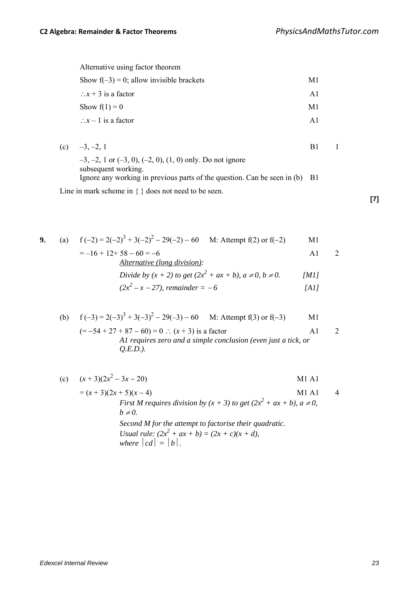| Alternative using factor theorem            |               |
|---------------------------------------------|---------------|
| Show $f(-3) = 0$ ; allow invisible brackets | M1            |
| $\therefore$ x + 3 is a factor              | $\mathbf{A}1$ |
| Show $f(1) = 0$                             | M1            |
| $\therefore$ x – 1 is a factor              | $\mathbf{A}1$ |
|                                             |               |

| (c) $-3, -2, 1$                                                                                    |  |
|----------------------------------------------------------------------------------------------------|--|
| $-3, -2, 1$ or $(-3, 0), (-2, 0), (1, 0)$ only. Do not ignore                                      |  |
| subsequent working.<br>Ignore any working in previous parts of the question. Can be seen in (b) B1 |  |
| Line in mark scheme in $\{\}$ does not need to be seen.                                            |  |

**9.** (a)  $f(-2) = 2(-2)^3 + 3(-2)^2 - 29(-2) - 60$  M: Attempt f(2) or f(-2) M1  $=-16 + 12 + 58 - 60 = -6$  A1 2 *Alternative (long division):* 

$$
\frac{Aiternaive (long avission)}{Divide by (x + 2) to get (2x2 + ax + b), a \neq 0, b \neq 0.}
$$
 [M1]  
(2x<sup>2</sup> - x - 27), remainder = -6 [A1]

(b) 
$$
f(-3) = 2(-3)^3 + 3(-3)^2 - 29(-3) - 60
$$
 M: Attempt f(3) or f(-3) M1  
\n $(= -54 + 27 + 87 - 60) = 0$  :  $(x + 3)$  is a factor  
\n*AI requires zero and a simple conclusion (even just a tick, or Q.E.D.).*

(c) 
$$
(x+3)(2x^2-3x-20)
$$
  
\n=  $(x+3)(2x+5)(x-4)$   
\nFirst M requires division by  $(x + 3)$  to get  $(2x^2 + ax + b)$ ,  $a \ne 0$ ,  
\n $b \ne 0$ .  
\nSecond M for the attempt to factorise their quadratic.  
\nUsually:  $(2x^2 + ax + b) = (2x + c)(x + d)$ ,  
\nwhere  $|cd| = |b|$ .

**[7]**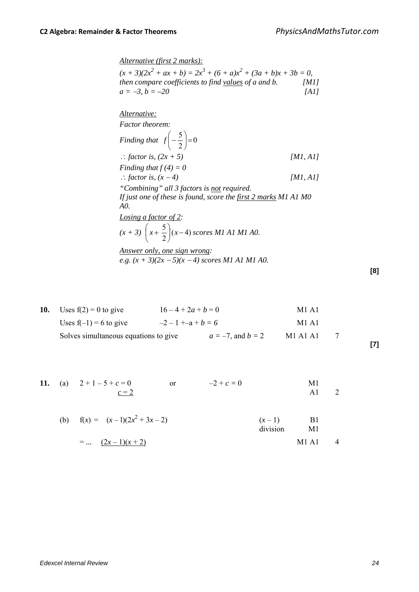*Alternative (first 2 marks):*  $(x + 3)(2x^2 + ax + b) = 2x^3 + (6 + a)x^2 + (3a + b)x + 3b = 0$ , *then compare coefficients to find values of a and b. [M1]*  $a = -3, b = -20$  *[A1]* 

*Alternative: Factor theorem: Finding that*  $|f| - \frac{3}{2}| = 0$ 2  $\left(\frac{5}{2}\right)=$ J  $\left(-\frac{5}{2}\right)$ l *f* − <sup>∴</sup> *factor is, (2x + 5) [M1, A1] Finding that*  $f(4) = 0$ ∴ *factor is, (x − 4) [M1, A1] "Combining" all 3 factors is not required. If just one of these is found, score the first 2 marks M1 A1 M0 A0. Losing a factor of 2:*   $(x + 3) \left(x + \frac{5}{2}\right)(x - 4)$  $\setminus$  $\left(x + \frac{5}{2}\right)(x-4)$  scores M1 A1 M1 A0. *Answer only, one sign wrong: e.g. (x + 3)(2x* <sup>−</sup> *5)(x* − *4) scores M1 A1 M1 A0.* 

| 10. | Uses $f(2) = 0$ to give               | $16-4+2a+b=0$       |                        | M1 A1                         |  |
|-----|---------------------------------------|---------------------|------------------------|-------------------------------|--|
|     | Uses $f(-1) = 6$ to give              | $-2-1 + -a + b = 6$ |                        | M <sub>1</sub> A <sub>1</sub> |  |
|     | Solves simultaneous equations to give |                     | $a = -7$ , and $b = 2$ | M1 A1 A1                      |  |

**11.** (a) 
$$
2+1-5+c=0
$$
 or  $-2+c=0$    
\n $\underline{c=2}$  or  $-2+c=0$    
\n**11.** (a)  $2+1-5+c=0$ 

(b) 
$$
f(x) = (x-1)(2x^2 + 3x - 2)
$$
  
\n $= ... (2x-1)(x+2)$   
\n $(x-1)$  B1  
\ndivision M1 A1 4

**[8]**

**[7]**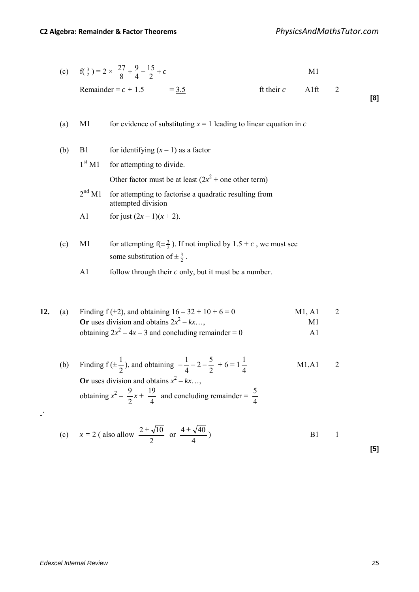| (c) $f(\frac{3}{2}) = 2 \times \frac{27}{8} + \frac{9}{4} - \frac{15}{2} + c$ |                      |  |  |  |
|-------------------------------------------------------------------------------|----------------------|--|--|--|
| Remainder = $c + 1.5$ = 3.5                                                   | ft their $c = A1$ ft |  |  |  |

| (a) | M1 | for evidence of substituting $x = 1$ leading to linear equation in c |
|-----|----|----------------------------------------------------------------------|
|-----|----|----------------------------------------------------------------------|

- (b) B1 for identifying  $(x 1)$  as a factor  $1<sup>st</sup> M1$  for attempting to divide. Other factor must be at least  $(2x^2 +$  one other term) 2<sup>nd</sup> M1 for attempting to factorise a quadratic resulting from attempted division A1 for just  $(2x-1)(x+2)$ .
- (c) M1 for attempting  $f(\pm \frac{3}{2})$ . If not implied by  $1.5 + c$ , we must see some substitution of  $\pm \frac{3}{2}$ .
	- A1 follow through their *c* only, but it must be a number.

| 12. | (a) | Finding $f(\pm 2)$ , and obtaining $16 - 32 + 10 + 6 = 0$ | M1. A1 | 2 |
|-----|-----|-----------------------------------------------------------|--------|---|
|     |     | <b>Or</b> uses division and obtains $2x^2 - kx$           | M1     |   |
|     |     | obtaining $2x^2 - 4x - 3$ and concluding remainder = 0    | Δl     |   |

(b) Finding  $f(\pm)$  $\frac{1}{2}$ ), and obtaining  $-\frac{1}{4} - 2 - \frac{5}{2}$ 4  $-\frac{1}{1}$  – 2 –  $\frac{5}{2}$  + 6 = 1 4  $M1, A1$  2 Or uses division and obtains  $x^2 - kx$ …, obtaining  $x^2 - \frac{9}{2}x +$  $\frac{19}{4}$  and concluding remainder =  $\frac{5}{4}$ 

(c) 
$$
x = 2
$$
 (also allow  $\frac{2 \pm \sqrt{10}}{2}$  or  $\frac{4 \pm \sqrt{40}}{4}$ )  
B1 1

-`

**[5]**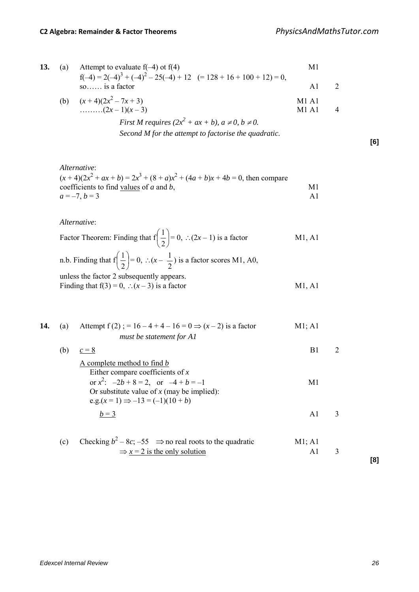| 13. | (a) | Attempt to evaluate $f(-4)$ ot $f(4)$                                   | M1                  |  |
|-----|-----|-------------------------------------------------------------------------|---------------------|--|
|     |     | $f(-4) = 2(-4)^3 + (-4)^2 - 25(-4) + 12$ $(= 128 + 16 + 100 + 12) = 0,$ |                     |  |
|     |     | so is a factor                                                          | A1                  |  |
|     |     | (b) $(x+4)(2x^2-7x+3)$                                                  | $M1$ A <sub>1</sub> |  |
|     |     | $(2x-1)(x-3)$                                                           | M1A1                |  |
|     |     | First M requires $(2x^2 + ax + b)$ , $a \neq 0$ , $b \neq 0$ .          |                     |  |

*Second M for the attempt to factorise the quadratic.*

$$
^{[6]}
$$

*Alternative*:  $(x+4)(2x^2 + ax + b) = 2x^3 + (8 + a)x^2 + (4a+b)x + 4b = 0$ , then compare coefficients to find <u>values</u> of *a* and *b*, M1  $a = -7, b = 3$  A1

*Alternative*:

Factor Theorem: Finding that  $f(\frac{1}{2})$ J  $\left(\frac{1}{2}\right)$  $\setminus$ ſ 2  $\left(\frac{1}{2}\right) = 0$ , ∴(2*x* – 1) is a factor M1, A1

n.b. Finding that  $f\left|\frac{1}{2}\right|$ J  $\left(\frac{1}{2}\right)$ Y ſ  $\left(\frac{1}{2}\right) = 0, \therefore (x - \frac{1}{2})$  is a factor scores M1, A0, unless the factor 2 subsequently appears. Finding that  $f(3) = 0$ , ∴(*x* – 3) is a factor M1, A1

**14.** (a) Attempt  $f(2)$ ; = 16 – 4 + 4 – 16 = 0  $\Rightarrow$  (*x* – 2) is a factor M1; A1 *must be statement for A1* (b)  $c = 8$  B1 2 A complete method to find *b*  Either compare coefficients of *x* or  $x^2$ :  $-2b+8=2$ , or  $-4+b=-1$  M1 Or substitute value of *x* (may be implied): e.g. $(x = 1) \Rightarrow -13 = (-1)(10 + b)$  $b=3$  A1 3 (c) Checking  $b^2 - 8c$ ; –55  $\Rightarrow$  no real roots to the quadratic M1; A1  $\Rightarrow$  *x* = 2 is the only solution A1 3

**[8]**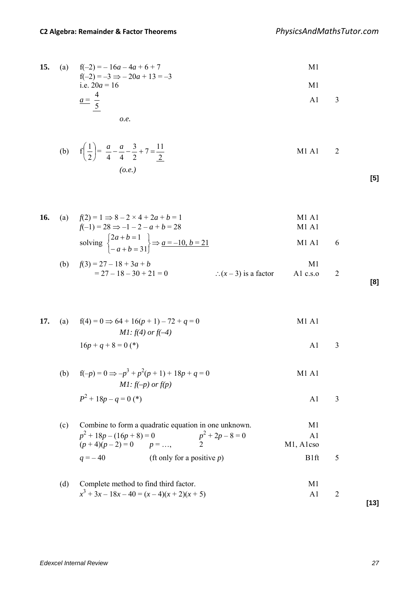**15.** (a) 
$$
f(-2) = -16a - 4a + 6 + 7
$$
  
\n $f(-2) = -3 \Rightarrow -20a + 13 = -3$   
\ni.e.  $20a = 16$   
\n $a = \frac{4}{5}$   
\n**11**  
\n**12**  
\n**13**  
\n**14**  
\n**15**  
\n**16**  
\n**17**  
\n**18**  
\n**19**  
\n**10**  
\n**11**  
\n**13**

$$
o.e.
$$

(b) 
$$
f\left(\frac{1}{2}\right) = \frac{a}{4} - \frac{a}{4} - \frac{3}{2} + 7 = \frac{11}{2}
$$
  
(o.e.)  
M1 A1 2

**[5]**

**[8]**

| 16. | (a) | $f(2) = 1 \Rightarrow 8 - 2 \times 4 + 2a + b = 1$                            | M <sub>1</sub> A <sub>1</sub> |     |
|-----|-----|-------------------------------------------------------------------------------|-------------------------------|-----|
|     |     | $f(-1) = 28 \implies -1 - 2 - a + b = 28$                                     | M1 A1                         |     |
|     |     | solving $\begin{cases} 2a+b=1 \\ -a+b=31 \end{cases} \Rightarrow a=-10, b=21$ | M1 A1                         | - 6 |
|     |     | (b) $f(3) = 27 - 18 + 3a + b$                                                 | M1                            |     |

$$
= 27 - 18 - 30 + 21 = 0
$$
  $\therefore (x - 3)$  is a factor A1 c.s.0 2

**17.** (a) 
$$
f(4) = 0 \Rightarrow 64 + 16(p+1) - 72 + q = 0
$$
  
M1 A1  
M1 *f(4)* or *f(-4)*

$$
16p + q + 8 = 0 (*)
$$
 A1 3

(b) 
$$
f(-p) = 0 \Rightarrow -p^3 + p^2(p+1) + 18p + q = 0
$$
  
\n*M1*:  $f(-p)$  or  $f(p)$   
\n $p^2 + 18p = 0$ 

$$
P^2 + 18p - q = 0 (*)
$$

(c) Combine to form a quadratic equation in one unknown.  
\n
$$
p^{2} + 18p - (16p + 8) = 0
$$
\n
$$
(p + 4)(p - 2) = 0
$$
\n
$$
p = ...,
$$
\n
$$
p^{2} + 2p - 8 = 0
$$
\n
$$
p^{2} + 2p - 8 = 0
$$
\n
$$
p^{2} + 2p - 8 = 0
$$
\n
$$
p^{2} + 2p - 8 = 0
$$
\n
$$
p^{2} + 2p - 8 = 0
$$
\n
$$
p^{2} + 2p - 8 = 0
$$
\n
$$
M1, A1 \cos \theta
$$
\n
$$
q = -40
$$
\n
$$
(ft only for a positive p)\n
$$
B1ft = 5
$$
$$

(d) Complete method to find third factor.  
\n
$$
x^3 + 3x - 18x - 40 = (x - 4)(x + 2)(x + 5)
$$
\n
$$
x^3 + 3x - 18x - 40 = (x - 4)(x + 2)(x + 5)
$$
\n
$$
x^3 + 2x - 18x - 40 = (x - 4)(x + 2)(x + 5)
$$

**[13]**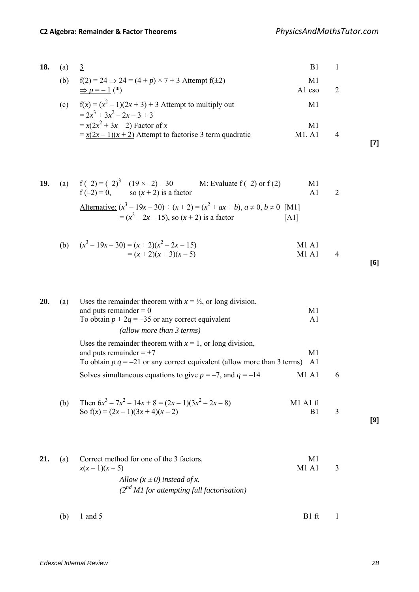**[7]**

**[6]**

| 18. | (a) | 3                                                                                                     | B1             |  |
|-----|-----|-------------------------------------------------------------------------------------------------------|----------------|--|
|     | (b) | $f(2) = 24 \Rightarrow 24 = (4 + p) \times 7 + 3$ Attempt $f(\pm 2)$<br>$\Rightarrow$ p = -1 (*)      | M1<br>A $\log$ |  |
|     | (c) | $f(x) = (x^2 - 1)(2x + 3) + 3$ Attempt to multiply out<br>$= 2x^3 + 3x^2 - 2x - 3 + 3$                | M1             |  |
|     |     | $= x(2x^2 + 3x - 2)$ Factor of x<br>$=\frac{x(2x-1)(x+2)}{x+2}$ Attempt to factorise 3 term quadratic | M1<br>M1. A1   |  |

19. (a) 
$$
f(-2) = (-2)^3 - (19 \times -2) - 30
$$
 M: Evaluate  $f(-2)$  or  $f(2)$  M1  
\n $f(-2) = 0$ , so  $(x + 2)$  is a factor A1 2  
\nAlternative:  $(x^3 - 19x - 30) \div (x + 2) = (x^2 + ax + b), a \ne 0, b \ne 0$  [M1]  
\n $= (x^2 - 2x - 15)$ , so  $(x + 2)$  is a factor [A1]

(b) 
$$
(x^3 - 19x - 30) = (x + 2)(x^2 - 2x - 15)
$$
  
=  $(x + 2)(x + 3)(x - 5)$   
M1 A1  
M1 A1 4

\n- **20.** (a) Uses the remainder theorem with 
$$
x = \frac{1}{2}
$$
, or long division, and puts remainder = 0\n
	\n- 10. Notain  $p + 2q = -35$  or any correct equivalent\n
		\n- (allow more than 3 terms)
		\n\n
	\n- 11. (allow more than 3 terms)
	\n- 12. Use the remainder theorem with  $x = 1$ , or long division, and puts remainder = ±7\n
		\n- 11. To obtain  $p \, q = -21$  or any correct equivalent (allow more than 3 terms)
		\n- 12. Substituting the values of the following equations:
		\n- 13. Substituting the values of the following equations:
		\n- 14. Substituting the values of the following equations:
		\n- 15. Substituting the values of the following equations:
		\n- 16. Substituting the values of the following equations:
		\n- 17. Substituting the values of the following equations:
		\n- 18. Substituting the values of the following equations:
		\n- 19. Substituting the values of the following equations:
		\n- 10. Substituting the values of the following equations:
		\n- 11. Substituting the values of the following equations:
		\n- 12. Substituting the values of the following equations:
		\n- 13. Substituting the values of the following equations:
		\n- 14. Substituting the values of the following equations:
		\n- 15. Substituting the values of the following equations:
		\n- 16. Substituting the values of the following equations:
		\n- 17. Substituting the values of the following equations:
		\n- 18. Substituting the values of the following equations:
		\n- 19. Substituting the values of the following equations:
		\n- 10. Substituting the values of the following equations:
		\n- 11. Substituting the values of the following equations:
		\n- 12. Substituting the values of the following equations:
		\n- 13. Substituting the values of the following equations:
		\n- 14. Substituting the values of the following equations:
		\n- 15. Substituting the values of the following equations:
		\n- 16. Substituting the values of the following equations:
		\n- 17. Substituting the values of the following equations:
		\n- 18. Substituting the values of the following equations:
		\n- 19. Substituting the values of the following equations:
		\n- 10. Substituting the values of the following equations:
		\n- 11. Substituting the values of the following equations:
		\n- 12. Substituting the values of the following equations:
		\n- 13.

| 21. | (a) | Correct method for one of the 3 factors.                                           | M1    |  |
|-----|-----|------------------------------------------------------------------------------------|-------|--|
|     |     | $x(x-1)(x-5)$                                                                      | M1 A1 |  |
|     |     | Allow $(x \pm 0)$ instead of x.<br>$(2^{nd} M1$ for attempting full factorisation) |       |  |
|     |     |                                                                                    |       |  |

(b)  $1 \text{ and } 5$  B1 ft  $1$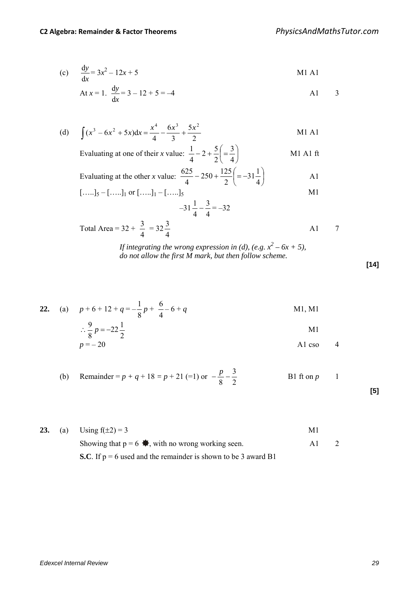Total Area =  $32 +$ 

4

4

(c) 
$$
\frac{dy}{dx} = 3x^2 - 12x + 5
$$
 M1 A1

At 
$$
x = 1
$$
.  $\frac{dy}{dx} = 3 - 12 + 5 = -4$  A1 3

(d)  $\int (x^3 - 6x^2 + 5x) dx = \frac{x^4}{4} - \frac{6x^3}{3} + \frac{5x}{2}$ 3  $(x^3 - 6x^2 + 5x)dx = \frac{x^4}{4} - \frac{6}{4}$  $\int (x^3 - 6x^2 + 5x) dx = \frac{x^4}{4} - \frac{6x^3}{3} + \frac{5x^2}{2}$  M1 A1

Evaluating at one of their *x* value:  $\frac{1}{2} - 2 + \frac{3}{2} = \frac{3}{2}$ J  $\left(=\frac{3}{4}\right)$  $\setminus$  $-2+\frac{5}{5}$  $=$ 4 3 2  $2 + \frac{5}{3}$ 4  $\frac{1}{1} - 2 + \frac{5}{2} = \frac{3}{1}$  M1 A1 ft

Evaluating at the other *x* value:  $\frac{0.25}{1} - 250 + \frac{125}{2} = -31\frac{1}{2}$  $\overline{\phantom{a}}$  $\left(=-31\frac{1}{4}\right)$  $\setminus$  $-250+\frac{125}{2}$  = -4  $31\frac{1}{4}$ 2  $250 + \frac{125}{2}$ 4  $\frac{625}{4} - 250 + \frac{125}{2} = -31\frac{1}{4}$  A1  $\begin{bmatrix} 1 & -1 & 1 & 0 \\ 0 & -1 & 1 & 0 \\ 0 & 0 & 0 & 0 \\ 0 & 0 & 0 & 0 \\ 0 & 0 & 0 & 0 \\ 0 & 0 & 0 & 0 \\ 0 & 0 & 0 & 0 \\ 0 & 0 & 0 & 0 \\ 0 & 0 & 0 & 0 \\ 0 & 0 & 0 & 0 \\ 0 & 0 & 0 & 0 \\ 0 & 0 & 0 & 0 \\ 0 & 0 & 0 & 0 \\ 0 & 0 & 0 & 0 \\ 0 & 0 & 0 & 0 \\ 0 & 0 & 0 & 0 \\ 0 & 0 & 0 & 0 & 0 \\ 0 & 0 &$ 

Total Area = 
$$
32 + \frac{3}{4} = 32\frac{3}{4}
$$
   
  $231\frac{1}{4} - \frac{3}{4} = -32$    
Total Area =  $32 + \frac{3}{4} = 32\frac{3}{4}$ 

*If integrating the wrong expression in (d), (e.g.*  $x^2 - 6x + 5$ ), *do not allow the first M mark, but then follow scheme.* 

**22.** (a)  $p+6+12+q=-$ 8  $\frac{1}{2}p +$ 4  $\frac{6}{4} - 6 + q$  M1, M1 ∴ 2  $22\frac{1}{2}$ 8  $\frac{9}{9}p = -22\frac{1}{2}$  M1  $p = -20$  A1 cso 4

(b) Remainder = 
$$
p + q + 18 = p + 21
$$
 (=1) or  $-\frac{p}{8} - \frac{3}{2}$  B1 ft on  $p$  1 [5]

|  | <b>23.</b> (a) Using $f(\pm 2) = 3$                              | M1 |  |
|--|------------------------------------------------------------------|----|--|
|  | Showing that $p = 6 \oplus$ , with no wrong working seen.        |    |  |
|  | S.C. If $p = 6$ used and the remainder is shown to be 3 award B1 |    |  |

**[14]**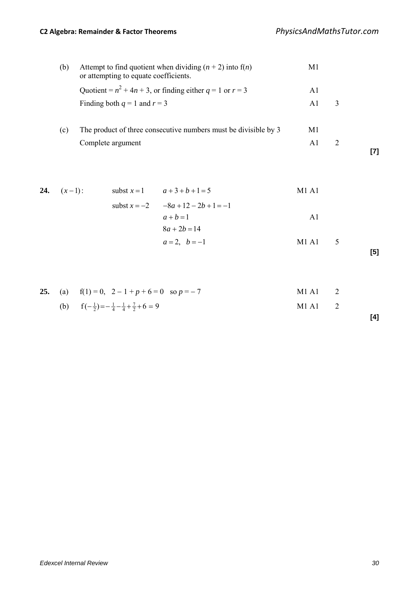## **C2 Algebra: Remainder & Factor Theorems** *PhysicsAndMathsTutor.com*

| (b) | Attempt to find quotient when dividing $(n + 2)$ into f( <i>n</i> )<br>or attempting to equate coefficients. | M1 |  |
|-----|--------------------------------------------------------------------------------------------------------------|----|--|
|     | Quotient = $n^2 + 4n + 3$ , or finding either $q = 1$ or $r = 3$                                             | Al |  |
|     | Finding both $q = 1$ and $r = 3$                                                                             | A1 |  |
|     |                                                                                                              |    |  |
| (c) | The product of three consecutive numbers must be divisible by 3                                              | M1 |  |
|     | Complete argument                                                                                            | A1 |  |
|     |                                                                                                              |    |  |

24. 
$$
(x-1)
$$
:   
\n
$$
a+3+b+1=5
$$
\n
$$
= -8a + 12 - 2b + 1 = -1
$$
\n
$$
a+b=1
$$
\n
$$
8a + 2b = 14
$$
\n
$$
a = 2, b = -1
$$
\nM1 A1\n3A1\n5

$$
[5]
$$

|  | <b>25.</b> (a) $f(1) = 0$ , $2 - 1 + p + 6 = 0$ so $p = -7$              | $M1A1$ 2 |  |
|--|--------------------------------------------------------------------------|----------|--|
|  | (b) $f(-\frac{1}{2}) = -\frac{1}{4} - \frac{1}{4} + \frac{7}{2} + 6 = 9$ | $M1A1$ 2 |  |

**[4]**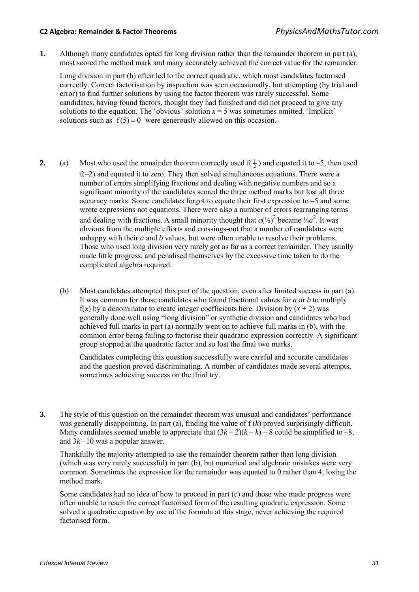#### **C2 Algebra: Remainder & Factor Theorems** *PhysicsAndMathsTutor.com*

**1.** Although many candidates opted for long division rather than the remainder theorem in part (a), most scored the method mark and many accurately achieved the correct value for the remainder.

 Long division in part (b) often led to the correct quadratic, which most candidates factorised correctly. Correct factorisation by inspection was seen occasionally, but attempting (by trial and error) to find further solutions by using the factor theorem was rarely successful. Some candidates, having found factors, thought they had finished and did not proceed to give any solutions to the equation. The 'obvious' solution  $x = 5$  was sometimes omitted. 'Implicit' solutions such as  $f(5) = 0$  were generously allowed on this occasion.

- **2.** (a) Most who used the remainder theorem correctly used  $f(\frac{1}{2})$  and equated it to -5, then used f(–2) and equated it to zero. They then solved simultaneous equations. There were a number of errors simplifying fractions and dealing with negative numbers and so a significant minority of the candidates scored the three method marks but lost all three accuracy marks. Some candidates forgot to equate their first expression to –5 and some wrote expressions not equations. There were also a number of errors rearranging terms and dealing with fractions. A small minority thought that  $a^{(\frac{1}{2})^2}$  became  $\frac{1}{4}a^2$ . It was obvious from the multiple efforts and crossings-out that a number of candidates were unhappy with their *a* and *b* values, but were often unable to resolve their problems. Those who used long division very rarely got as far as a correct remainder. They usually made little progress, and penalised themselves by the excessive time taken to do the complicated algebra required.
	- (b) Most candidates attempted this part of the question, even after limited success in part (a). It was common for those candidates who found fractional values for *a* or *b* to multiply  $f(x)$  by a denominator to create integer coefficients here. Division by  $(x + 2)$  was generally done well using "long division" or synthetic division and candidates who had achieved full marks in part (a) normally went on to achieve full marks in (b), with the common error being failing to factorise their quadratic expression correctly. A significant group stopped at the quadratic factor and so lost the final two marks.

Candidates completing this question successfully were careful and accurate candidates and the question proved discriminating. A number of candidates made several attempts, sometimes achieving success on the third try.

**3.** The style of this question on the remainder theorem was unusual and candidates' performance was generally disappointing. In part (a), finding the value of f (*k*) proved surprisingly difficult. Many candidates seemed unable to appreciate that  $(3k-2)(k-k) - 8$  could be simplified to  $-8$ , and 3*k* –10 was a popular answer.

 Thankfully the majority attempted to use the remainder theorem rather than long division (which was very rarely successful) in part (b), but numerical and algebraic mistakes were very common. Sometimes the expression for the remainder was equated to 0 rather than 4, losing the method mark.

 Some candidates had no idea of how to proceed in part (c) and those who made progress were often unable to reach the correct factorised form of the resulting quadratic expression. Some solved a quadratic equation by use of the formula at this stage, never achieving the required factorised form.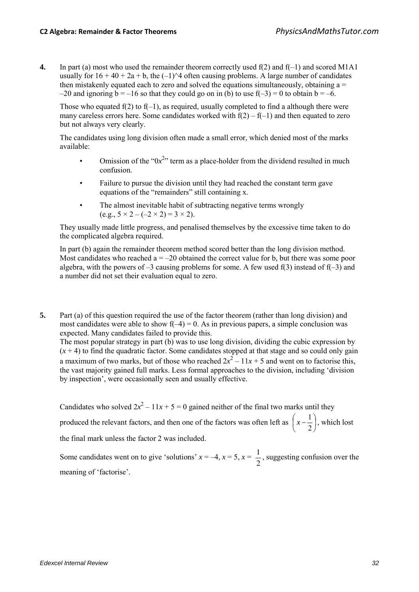**4.** In part (a) most who used the remainder theorem correctly used f(2) and f(–1) and scored M1A1 usually for  $16 + 40 + 2a + b$ , the  $(-1)^{2}$  often causing problems. A large number of candidates then mistakenly equated each to zero and solved the equations simultaneously, obtaining  $a =$  $-20$  and ignoring b =  $-16$  so that they could go on in (b) to use  $f(-3) = 0$  to obtain b =  $-6$ .

Those who equated  $f(2)$  to  $f(-1)$ , as required, usually completed to find a although there were many careless errors here. Some candidates worked with  $f(2) - f(-1)$  and then equated to zero but not always very clearly.

The candidates using long division often made a small error, which denied most of the marks available:

- Omission of the " $0x<sup>2</sup>$ " term as a place-holder from the dividend resulted in much confusion.
- Failure to pursue the division until they had reached the constant term gave equations of the "remainders" still containing x.
- The almost inevitable habit of subtracting negative terms wrongly  $(e.g., 5 \times 2 - (-2 \times 2) = 3 \times 2)$ .

They usually made little progress, and penalised themselves by the excessive time taken to do the complicated algebra required.

 In part (b) again the remainder theorem method scored better than the long division method. Most candidates who reached  $a = -20$  obtained the correct value for b, but there was some poor algebra, with the powers of  $-3$  causing problems for some. A few used f(3) instead of f( $-3$ ) and a number did not set their evaluation equal to zero.

**5.** Part (a) of this question required the use of the factor theorem (rather than long division) and most candidates were able to show  $f(-4) = 0$ . As in previous papers, a simple conclusion was expected. Many candidates failed to provide this.

The most popular strategy in part (b) was to use long division, dividing the cubic expression by  $(x + 4)$  to find the quadratic factor. Some candidates stopped at that stage and so could only gain a maximum of two marks, but of those who reached  $2x^2 - 11x + 5$  and went on to factorise this, the vast majority gained full marks. Less formal approaches to the division, including 'division by inspection', were occasionally seen and usually effective.

Candidates who solved  $2x^2 - 11x + 5 = 0$  gained neither of the final two marks until they produced the relevant factors, and then one of the factors was often left as  $x - \frac{1}{2}$ J  $\left(x-\frac{1}{2}\right)$  $\left(x-\frac{1}{2}\right)$ , which lost the final mark unless the factor 2 was included.

Some candidates went on to give 'solutions'  $x = -4$ ,  $x = 5$ ,  $x =$ 2  $\frac{1}{2}$ , suggesting confusion over the meaning of 'factorise'.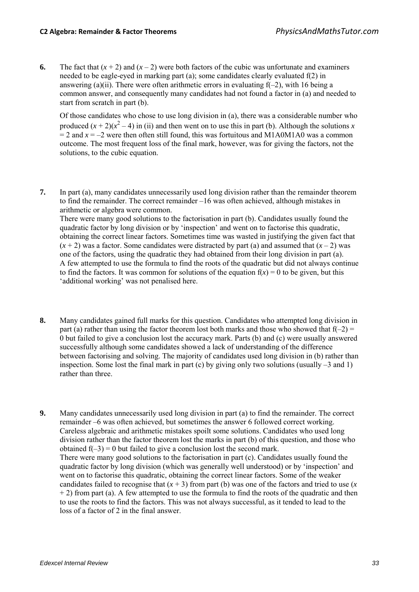**6.** The fact that  $(x + 2)$  and  $(x - 2)$  were both factors of the cubic was unfortunate and examiners needed to be eagle-eyed in marking part (a); some candidates clearly evaluated f(2) in answering (a)(ii). There were often arithmetic errors in evaluating  $f(-2)$ , with 16 being a common answer, and consequently many candidates had not found a factor in (a) and needed to start from scratch in part (b).

 Of those candidates who chose to use long division in (a), there was a considerable number who produced  $(x + 2)(x^2 - 4)$  in (ii) and then went on to use this in part (b). Although the solutions *x*  $=$  2 and  $x = -2$  were then often still found, this was fortuitous and M1A0M1A0 was a common outcome. The most frequent loss of the final mark, however, was for giving the factors, not the solutions, to the cubic equation.

- **7.** In part (a), many candidates unnecessarily used long division rather than the remainder theorem to find the remainder. The correct remainder –16 was often achieved, although mistakes in arithmetic or algebra were common. There were many good solutions to the factorisation in part (b). Candidates usually found the quadratic factor by long division or by 'inspection' and went on to factorise this quadratic, obtaining the correct linear factors. Sometimes time was wasted in justifying the given fact that  $(x + 2)$  was a factor. Some candidates were distracted by part (a) and assumed that  $(x - 2)$  was one of the factors, using the quadratic they had obtained from their long division in part (a). A few attempted to use the formula to find the roots of the quadratic but did not always continue to find the factors. It was common for solutions of the equation  $f(x) = 0$  to be given, but this 'additional working' was not penalised here.
- **8.** Many candidates gained full marks for this question. Candidates who attempted long division in part (a) rather than using the factor theorem lost both marks and those who showed that  $f(-2) =$ 0 but failed to give a conclusion lost the accuracy mark. Parts (b) and (c) were usually answered successfully although some candidates showed a lack of understanding of the difference between factorising and solving. The majority of candidates used long division in (b) rather than inspection. Some lost the final mark in part  $(c)$  by giving only two solutions (usually  $-3$  and 1) rather than three.
- **9.** Many candidates unnecessarily used long division in part (a) to find the remainder. The correct remainder –6 was often achieved, but sometimes the answer 6 followed correct working. Careless algebraic and arithmetic mistakes spoilt some solutions. Candidates who used long division rather than the factor theorem lost the marks in part (b) of this question, and those who obtained  $f(-3) = 0$  but failed to give a conclusion lost the second mark. There were many good solutions to the factorisation in part (c). Candidates usually found the quadratic factor by long division (which was generally well understood) or by 'inspection' and went on to factorise this quadratic, obtaining the correct linear factors. Some of the weaker candidates failed to recognise that  $(x + 3)$  from part (b) was one of the factors and tried to use  $(x + 3)$  $+ 2$ ) from part (a). A few attempted to use the formula to find the roots of the quadratic and then to use the roots to find the factors. This was not always successful, as it tended to lead to the loss of a factor of 2 in the final answer.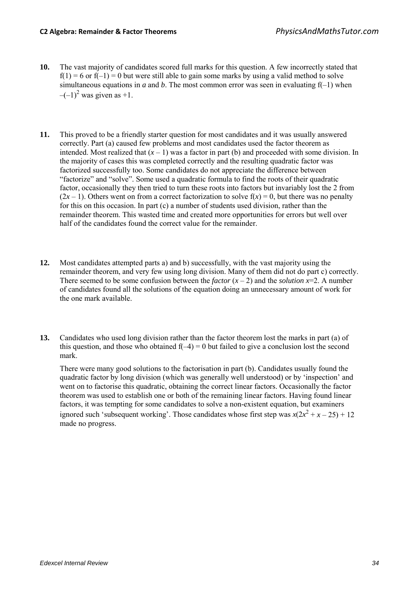- **10.** The vast majority of candidates scored full marks for this question. A few incorrectly stated that  $f(1) = 6$  or  $f(-1) = 0$  but were still able to gain some marks by using a valid method to solve simultaneous equations in *a* and *b*. The most common error was seen in evaluating  $f(-1)$  when  $-(-1)^2$  was given as +1.
- **11.** This proved to be a friendly starter question for most candidates and it was usually answered correctly. Part (a) caused few problems and most candidates used the factor theorem as intended. Most realized that  $(x - 1)$  was a factor in part (b) and proceeded with some division. In the majority of cases this was completed correctly and the resulting quadratic factor was factorized successfully too. Some candidates do not appreciate the difference between "factorize" and "solve". Some used a quadratic formula to find the roots of their quadratic factor, occasionally they then tried to turn these roots into factors but invariably lost the 2 from  $(2x - 1)$ . Others went on from a correct factorization to solve  $f(x) = 0$ , but there was no penalty for this on this occasion. In part (c) a number of students used division, rather than the remainder theorem. This wasted time and created more opportunities for errors but well over half of the candidates found the correct value for the remainder.
- **12.** Most candidates attempted parts a) and b) successfully, with the vast majority using the remainder theorem, and very few using long division. Many of them did not do part c) correctly. There seemed to be some confusion between the *factor*  $(x - 2)$  and the *solution*  $x=2$ . A number of candidates found all the solutions of the equation doing an unnecessary amount of work for the one mark available.
- **13.** Candidates who used long division rather than the factor theorem lost the marks in part (a) of this question, and those who obtained  $f(-4) = 0$  but failed to give a conclusion lost the second mark.

 There were many good solutions to the factorisation in part (b). Candidates usually found the quadratic factor by long division (which was generally well understood) or by 'inspection' and went on to factorise this quadratic, obtaining the correct linear factors. Occasionally the factor theorem was used to establish one or both of the remaining linear factors. Having found linear factors, it was tempting for some candidates to solve a non-existent equation, but examiners ignored such 'subsequent working'. Those candidates whose first step was  $x(2x^2 + x - 25) + 12$ made no progress.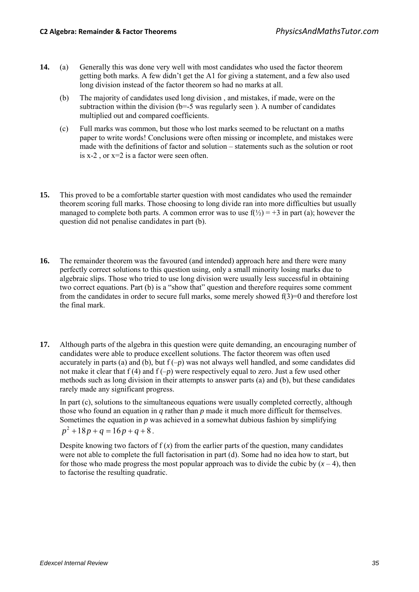- **14.** (a) Generally this was done very well with most candidates who used the factor theorem getting both marks. A few didn't get the A1 for giving a statement, and a few also used long division instead of the factor theorem so had no marks at all.
	- (b) The majority of candidates used long division , and mistakes, if made, were on the subtraction within the division  $(b=-5$  was regularly seen). A number of candidates multiplied out and compared coefficients.
	- (c) Full marks was common, but those who lost marks seemed to be reluctant on a maths paper to write words! Conclusions were often missing or incomplete, and mistakes were made with the definitions of factor and solution – statements such as the solution or root is x-2 , or x=2 is a factor were seen often.
- **15.** This proved to be a comfortable starter question with most candidates who used the remainder theorem scoring full marks. Those choosing to long divide ran into more difficulties but usually managed to complete both parts. A common error was to use  $f(\frac{1}{2}) = +3$  in part (a); however the question did not penalise candidates in part (b).
- **16.** The remainder theorem was the favoured (and intended) approach here and there were many perfectly correct solutions to this question using, only a small minority losing marks due to algebraic slips. Those who tried to use long division were usually less successful in obtaining two correct equations. Part (b) is a "show that" question and therefore requires some comment from the candidates in order to secure full marks, some merely showed  $f(3)=0$  and therefore lost the final mark.
- **17.** Although parts of the algebra in this question were quite demanding, an encouraging number of candidates were able to produce excellent solutions. The factor theorem was often used accurately in parts (a) and (b), but  $f(-p)$  was not always well handled, and some candidates did not make it clear that f (4) and f (–*p*) were respectively equal to zero. Just a few used other methods such as long division in their attempts to answer parts (a) and (b), but these candidates rarely made any significant progress.

 In part (c), solutions to the simultaneous equations were usually completed correctly, although those who found an equation in *q* rather than *p* made it much more difficult for themselves. Sometimes the equation in *p* was achieved in a somewhat dubious fashion by simplifying

$$
p^2 + 18p + q = 16p + q + 8.
$$

Despite knowing two factors of  $f(x)$  from the earlier parts of the question, many candidates were not able to complete the full factorisation in part (d). Some had no idea how to start, but for those who made progress the most popular approach was to divide the cubic by  $(x - 4)$ , then to factorise the resulting quadratic.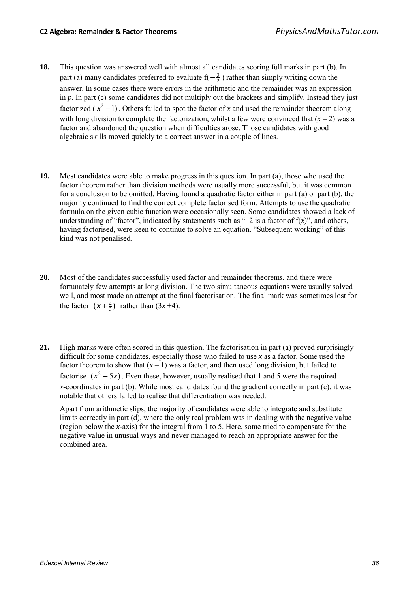- **18.** This question was answered well with almost all candidates scoring full marks in part (b). In part (a) many candidates preferred to evaluate  $f(-\frac{3}{2})$  rather than simply writing down the answer. In some cases there were errors in the arithmetic and the remainder was an expression in *p*. In part (c) some candidates did not multiply out the brackets and simplify. Instead they just factorized  $(x^2 - 1)$ . Others failed to spot the factor of *x* and used the remainder theorem along with long division to complete the factorization, whilst a few were convinced that  $(x - 2)$  was a factor and abandoned the question when difficulties arose. Those candidates with good algebraic skills moved quickly to a correct answer in a couple of lines.
- **19.** Most candidates were able to make progress in this question. In part (a), those who used the factor theorem rather than division methods were usually more successful, but it was common for a conclusion to be omitted. Having found a quadratic factor either in part (a) or part (b), the majority continued to find the correct complete factorised form. Attempts to use the quadratic formula on the given cubic function were occasionally seen. Some candidates showed a lack of understanding of "factor", indicated by statements such as " $-2$  is a factor of  $f(x)$ ", and others, having factorised, were keen to continue to solve an equation. "Subsequent working" of this kind was not penalised.
- **20.** Most of the candidates successfully used factor and remainder theorems, and there were fortunately few attempts at long division. The two simultaneous equations were usually solved well, and most made an attempt at the final factorisation. The final mark was sometimes lost for the factor  $(x + \frac{4}{3})$  rather than  $(3x + 4)$ .
- **21.** High marks were often scored in this question. The factorisation in part (a) proved surprisingly difficult for some candidates, especially those who failed to use *x* as a factor. Some used the factor theorem to show that  $(x - 1)$  was a factor, and then used long division, but failed to factorise  $(x^2 - 5x)$ . Even these, however, usually realised that 1 and 5 were the required *x*-coordinates in part (b). While most candidates found the gradient correctly in part (c), it was notable that others failed to realise that differentiation was needed.

Apart from arithmetic slips, the majority of candidates were able to integrate and substitute limits correctly in part (d), where the only real problem was in dealing with the negative value (region below the *x*-axis) for the integral from 1 to 5. Here, some tried to compensate for the negative value in unusual ways and never managed to reach an appropriate answer for the combined area.